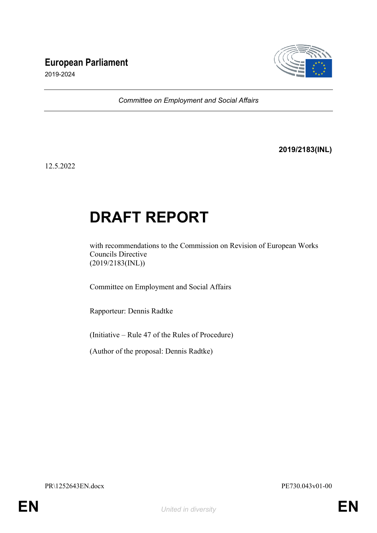# **European Parliament**



2019-2024

*Committee on Employment and Social Affairs*

**2019/2183(INL)**

12.5.2022

# **DRAFT REPORT**

with recommendations to the Commission on Revision of European Works Councils Directive (2019/2183(INL))

Committee on Employment and Social Affairs

Rapporteur: Dennis Radtke

(Initiative – Rule 47 of the Rules of Procedure)

(Author of the proposal: Dennis Radtke)

PR\1252643EN.docx PE730.043v01-00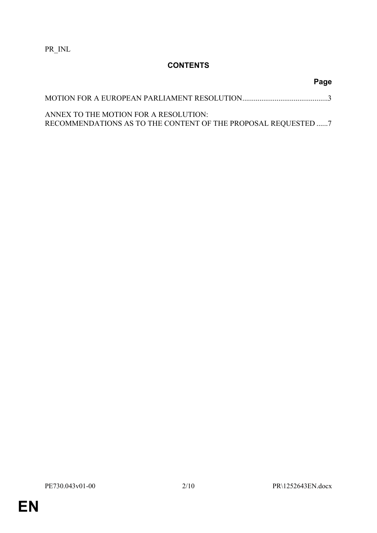PR\_INL

## **CONTENTS**

# MOTION FOR A EUROPEAN PARLIAMENT RESOLUTION.............................................[3](#page-2-0) ANNEX TO THE MOTION FOR A RESOLUTION: RECOMMENDATIONS AS TO THE CONTENT OF THE PROPOSAL REQUESTED ......[7](#page-6-0)

**Page**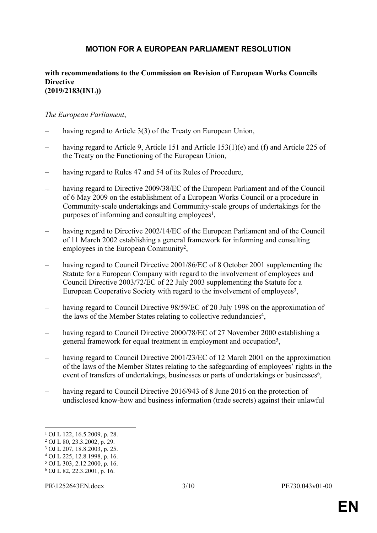## <span id="page-2-0"></span>**MOTION FOR A EUROPEAN PARLIAMENT RESOLUTION**

#### **with recommendations to the Commission on Revision of European Works Councils Directive (2019/2183(INL))**

#### *The European Parliament*,

- having regard to Article 3(3) of the Treaty on European Union,
- having regard to Article 9, Article 151 and Article 153(1)(e) and (f) and Article 225 of the Treaty on the Functioning of the European Union,
- having regard to Rules 47 and 54 of its Rules of Procedure,
- having regard to Directive 2009/38/EC of the European Parliament and of the Council of 6 May 2009 on the establishment of a European Works Council or a procedure in Community-scale undertakings and Community-scale groups of undertakings for the purposes of informing and consulting employees<sup>1</sup>,
- having regard to Directive 2002/14/EC of the European Parliament and of the Council of 11 March 2002 establishing a general framework for informing and consulting employees in the European Community<sup>2</sup>,
- having regard to Council Directive 2001/86/EC of 8 October 2001 supplementing the Statute for a European Company with regard to the involvement of employees and Council Directive 2003/72/EC of 22 July 2003 supplementing the Statute for a European Cooperative Society with regard to the involvement of employees<sup>3</sup>,
- having regard to Council Directive 98/59/EC of 20 July 1998 on the approximation of the laws of the Member States relating to collective redundancies<sup>4</sup>,
- having regard to Council Directive 2000/78/EC of 27 November 2000 establishing a general framework for equal treatment in employment and occupation<sup>5</sup>,
- having regard to Council Directive 2001/23/EC of 12 March 2001 on the approximation of the laws of the Member States relating to the safeguarding of employees' rights in the event of transfers of undertakings, businesses or parts of undertakings or businesses<sup>6</sup>,
- having regard to Council Directive 2016/943 of 8 June 2016 on the protection of undisclosed know-how and business information (trade secrets) against their unlawful

<sup>1</sup> OJ L 122, 16.5.2009, p. 28.

<sup>2</sup> OJ L 80, 23.3.2002, p. 29.

<sup>3</sup> OJ L 207, 18.8.2003, p. 25.

<sup>4</sup> OJ L 225, 12.8.1998, p. 16.

<sup>5</sup> OJ L 303, 2.12.2000, p. 16.

<sup>6</sup> OJ L 82, 22.3.2001, p. 16.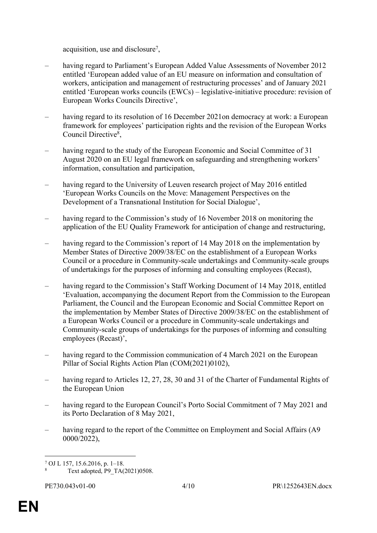acquisition, use and disclosure<sup>7</sup>,

- having regard to Parliament's European Added Value Assessments of November 2012 entitled 'European added value of an EU measure on information and consultation of workers, anticipation and management of restructuring processes' and of January 2021 entitled 'European works councils (EWCs) – legislative-initiative procedure: revision of European Works Councils Directive',
- having regard to its resolution of 16 December 2021on democracy at work: a European framework for employees' participation rights and the revision of the European Works Council Directive<sup>8</sup>,
- having regard to the study of the European Economic and Social Committee of 31 August 2020 on an EU legal framework on safeguarding and strengthening workers' information, consultation and participation,
- having regard to the University of Leuven research project of May 2016 entitled 'European Works Councils on the Move: Management Perspectives on the Development of a Transnational Institution for Social Dialogue',
- having regard to the Commission's study of 16 November 2018 on monitoring the application of the EU Quality Framework for anticipation of change and restructuring,
- having regard to the Commission's report of 14 May 2018 on the implementation by Member States of Directive 2009/38/EC on the establishment of a European Works Council or a procedure in Community-scale undertakings and Community-scale groups of undertakings for the purposes of informing and consulting employees (Recast),
- having regard to the Commission's Staff Working Document of 14 May 2018, entitled 'Evaluation, accompanying the document Report from the Commission to the European Parliament, the Council and the European Economic and Social Committee Report on the implementation by Member States of Directive 2009/38/EC on the establishment of a European Works Council or a procedure in Community-scale undertakings and Community-scale groups of undertakings for the purposes of informing and consulting employees (Recast)',
- having regard to the Commission communication of 4 March 2021 on the European Pillar of Social Rights Action Plan (COM(2021)0102),
- having regard to Articles 12, 27, 28, 30 and 31 of the Charter of Fundamental Rights of the European Union
- having regard to the European Council's Porto Social Commitment of 7 May 2021 and its Porto Declaration of 8 May 2021,
- having regard to the report of the Committee on Employment and Social Affairs (A9 0000/2022),

<sup>7</sup> OJ L 157, 15.6.2016, p. 1–18.

<sup>8</sup> Text adopted, P9\_TA(2021)0508.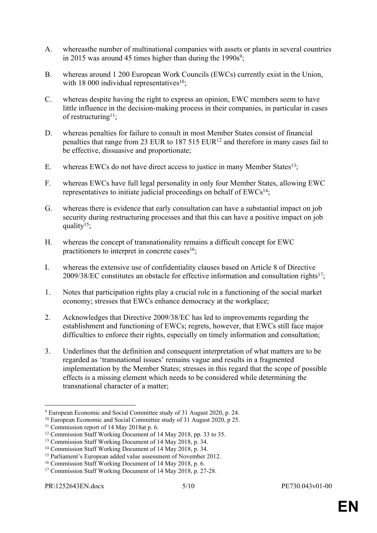- A. whereasthe number of multinational companies with assets or plants in several countries in 2015 was around 45 times higher than during the  $1990s^9$ ;
- B. whereas around 1 200 European Work Councils (EWCs) currently exist in the Union, with 18 000 individual representatives<sup>10</sup>;
- C. whereas despite having the right to express an opinion, EWC members seem to have little influence in the decision-making process in their companies, in particular in cases of restructuring<sup>11</sup>:
- D. whereas penalties for failure to consult in most Member States consist of financial penalties that range from 23 EUR to  $187\,515\,EUR^{12}$  and therefore in many cases fail to be effective, dissuasive and proportionate;
- E. whereas EWCs do not have direct access to justice in many Member States<sup>13</sup>;
- F. whereas EWCs have full legal personality in only four Member States, allowing EWC representatives to initiate judicial proceedings on behalf of EWCs<sup>14</sup>;
- G. whereas there is evidence that early consultation can have a substantial impact on job security during restructuring processes and that this can have a positive impact on job quality<sup>15</sup>;
- H. whereas the concept of transnationality remains a difficult concept for EWC practitioners to interpret in concrete cases $16$ ;
- I. whereas the extensive use of confidentiality clauses based on Article 8 of Directive  $2009/38/EC$  constitutes an obstacle for effective information and consultation rights<sup>17</sup>;
- 1. Notes that participation rights play a crucial role in a functioning of the social market economy; stresses that EWCs enhance democracy at the workplace;
- 2. Acknowledges that Directive 2009/38/EC has led to improvements regarding the establishment and functioning of EWCs; regrets, however, that EWCs still face major difficulties to enforce their rights, especially on timely information and consultation;
- 3. Underlines that the definition and consequent interpretation of what matters are to be regarded as 'transnational issues' remains vague and results in a fragmented implementation by the Member States; stresses in this regard that the scope of possible effects is a missing element which needs to be considered while determining the transnational character of a matter;

<sup>9</sup> European Economic and Social Committee study of 31 August 2020, p. 24.

<sup>&</sup>lt;sup>10</sup> European Economic and Social Committee study of 31 August 2020, p 25.

<sup>11</sup> Commission report of 14 May 2018at p. 6.

<sup>&</sup>lt;sup>12</sup> Commission Staff Working Document of 14 May 2018, pp. 33 to 35.

<sup>13</sup> Commission Staff Working Document of 14 May 2018, p. 34.

<sup>14</sup> Commission Staff Working Document of 14 May 2018, p. 34.

<sup>&</sup>lt;sup>15</sup> Parliament's European added value assessment of November 2012.

<sup>16</sup> Commission Staff Working Document of 14 May 2018, p. 6.

<sup>17</sup> Commission Staff Working Document of 14 May 2018, p. 27-28.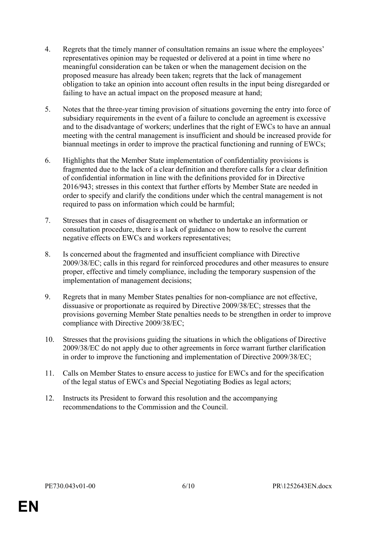- 4. Regrets that the timely manner of consultation remains an issue where the employees' representatives opinion may be requested or delivered at a point in time where no meaningful consideration can be taken or when the management decision on the proposed measure has already been taken; regrets that the lack of management obligation to take an opinion into account often results in the input being disregarded or failing to have an actual impact on the proposed measure at hand;
- 5. Notes that the three-year timing provision of situations governing the entry into force of subsidiary requirements in the event of a failure to conclude an agreement is excessive and to the disadvantage of workers; underlines that the right of EWCs to have an annual meeting with the central management is insufficient and should be increased provide for biannual meetings in order to improve the practical functioning and running of EWCs;
- 6. Highlights that the Member State implementation of confidentiality provisions is fragmented due to the lack of a clear definition and therefore calls for a clear definition of confidential information in line with the definitions provided for in Directive 2016/943; stresses in this context that further efforts by Member State are needed in order to specify and clarify the conditions under which the central management is not required to pass on information which could be harmful;
- 7. Stresses that in cases of disagreement on whether to undertake an information or consultation procedure, there is a lack of guidance on how to resolve the current negative effects on EWCs and workers representatives;
- 8. Is concerned about the fragmented and insufficient compliance with Directive 2009/38/EC; calls in this regard for reinforced procedures and other measures to ensure proper, effective and timely compliance, including the temporary suspension of the implementation of management decisions;
- 9. Regrets that in many Member States penalties for non-compliance are not effective, dissuasive or proportionate as required by Directive 2009/38/EC; stresses that the provisions governing Member State penalties needs to be strengthen in order to improve compliance with Directive 2009/38/EC;
- 10. Stresses that the provisions guiding the situations in which the obligations of Directive 2009/38/EC do not apply due to other agreements in force warrant further clarification in order to improve the functioning and implementation of Directive 2009/38/EC;
- 11. Calls on Member States to ensure access to justice for EWCs and for the specification of the legal status of EWCs and Special Negotiating Bodies as legal actors;
- 12. Instructs its President to forward this resolution and the accompanying recommendations to the Commission and the Council.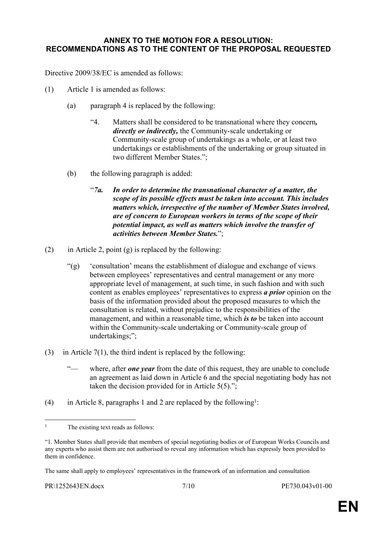#### <span id="page-6-0"></span>**ANNEX TO THE MOTION FOR A RESOLUTION: RECOMMENDATIONS AS TO THE CONTENT OF THE PROPOSAL REQUESTED**

Directive 2009/38/EC is amended as follows:

- (1) Article 1 is amended as follows:
	- (a) paragraph 4 is replaced by the following:
		- "4. Matters shall be considered to be transnational where they concern*, directly or indirectly,* the Community-scale undertaking or Community-scale group of undertakings as a whole, or at least two undertakings or establishments of the undertaking or group situated in two different Member States.";
	- (b) the following paragraph is added:
		- "*7a. In order to determine the transnational character of a matter, the scope of its possible effects must be taken into account. This includes matters which, irrespective of the number of Member States involved, are of concern to European workers in terms of the scope of their potential impact, as well as matters which involve the transfer of activities between Member States.*";
- (2) in Article 2, point (g) is replaced by the following:
	- "(g) 'consultation' means the establishment of dialogue and exchange of views between employees' representatives and central management or any more appropriate level of management, at such time, in such fashion and with such content as enables employees' representatives to express *a prior* opinion on the basis of the information provided about the proposed measures to which the consultation is related, without prejudice to the responsibilities of the management, and within a reasonable time, which *is to* be taken into account within the Community-scale undertaking or Community-scale group of undertakings;";
- (3) in Article 7(1), the third indent is replaced by the following:
	- where, after *one year* from the date of this request, they are unable to conclude an agreement as laid down in Article 6 and the special negotiating body has not taken the decision provided for in Article 5(5).";
- (4) in Article 8, paragraphs 1 and 2 are replaced by the following<sup>1</sup>:

<sup>&</sup>lt;sup>1</sup> The existing text reads as follows:

<sup>&</sup>quot;1. Member States shall provide that members of special negotiating bodies or of European Works Councils and any experts who assist them are not authorised to reveal any information which has expressly been provided to them in confidence.

The same shall apply to employees' representatives in the framework of an information and consultation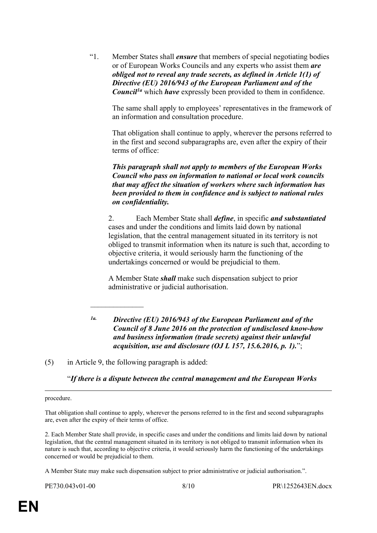"1. Member States shall *ensure* that members of special negotiating bodies or of European Works Councils and any experts who assist them *are obliged not to reveal any trade secrets, as defined in Article 1(1) of Directive (EU) 2016/943 of the European Parliament and of the Council1a* which *have* expressly been provided to them in confidence.

The same shall apply to employees' representatives in the framework of an information and consultation procedure.

That obligation shall continue to apply, wherever the persons referred to in the first and second subparagraphs are, even after the expiry of their terms of office:

*This paragraph shall not apply to members of the European Works Council who pass on information to national or local work councils that may affect the situation of workers where such information has been provided to them in confidence and is subject to national rules on confidentiality.*

2. Each Member State shall *define*, in specific *and substantiated* cases and under the conditions and limits laid down by national legislation, that the central management situated in its territory is not obliged to transmit information when its nature is such that, according to objective criteria, it would seriously harm the functioning of the undertakings concerned or would be prejudicial to them.

A Member State *shall* make such dispensation subject to prior administrative or judicial authorisation.

*1a. Directive (EU) 2016/943 of the European Parliament and of the Council of 8 June 2016 on the protection of undisclosed know-how and business information (trade secrets) against their unlawful acquisition, use and disclosure (OJ L 157, 15.6.2016, p. 1).*";

(5) in Article 9, the following paragraph is added:

 $\frac{1}{2}$ 

"*If there is a dispute between the central management and the European Works* 

procedure.

That obligation shall continue to apply, wherever the persons referred to in the first and second subparagraphs are, even after the expiry of their terms of office.

2. Each Member State shall provide, in specific cases and under the conditions and limits laid down by national legislation, that the central management situated in its territory is not obliged to transmit information when its nature is such that, according to objective criteria, it would seriously harm the functioning of the undertakings concerned or would be prejudicial to them.

A Member State may make such dispensation subject to prior administrative or judicial authorisation.".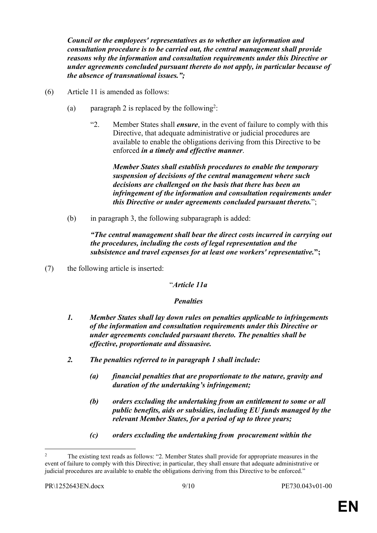*Council or the employees' representatives as to whether an information and consultation procedure is to be carried out, the central management shall provide reasons why the information and consultation requirements under this Directive or under agreements concluded pursuant thereto do not apply, in particular because of the absence of transnational issues.";*

- (6) Article 11 is amended as follows:
	- (a) paragraph 2 is replaced by the following<sup>2</sup>:
		- "2. Member States shall *ensure*, in the event of failure to comply with this Directive, that adequate administrative or judicial procedures are available to enable the obligations deriving from this Directive to be enforced *in a timely and effective manner*.

*Member States shall establish procedures to enable the temporary suspension of decisions of the central management where such decisions are challenged on the basis that there has been an infringement of the information and consultation requirements under this Directive or under agreements concluded pursuant thereto.*";

(b) in paragraph 3, the following subparagraph is added:

*"The central management shall bear the direct costs incurred in carrying out the procedures, including the costs of legal representation and the subsistence and travel expenses for at least one workers' representative.***";**

(7) the following article is inserted:

"*Article 11a*

### *Penalties*

- *1. Member States shall lay down rules on penalties applicable to infringements of the information and consultation requirements under this Directive or under agreements concluded pursuant thereto. The penalties shall be effective, proportionate and dissuasive.*
- *2. The penalties referred to in paragraph 1 shall include:*
	- *(a) financial penalties that are proportionate to the nature, gravity and duration of the undertaking's infringement;*
	- *(b) orders excluding the undertaking from an entitlement to some or all public benefits, aids or subsidies, including EU funds managed by the relevant Member States, for a period of up to three years;*
	- *(c) orders excluding the undertaking from procurement within the*

<sup>2</sup> The existing text reads as follows: "2. Member States shall provide for appropriate measures in the event of failure to comply with this Directive; in particular, they shall ensure that adequate administrative or judicial procedures are available to enable the obligations deriving from this Directive to be enforced."